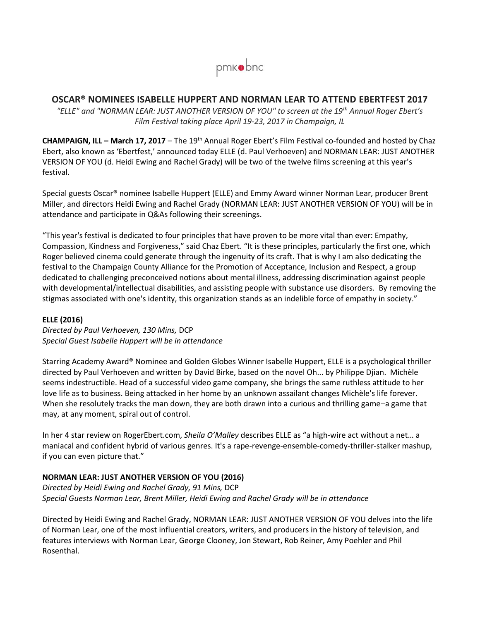

## **OSCAR® NOMINEES ISABELLE HUPPERT AND NORMAN LEAR TO ATTEND EBERTFEST 2017**

*"ELLE" and "NORMAN LEAR: JUST ANOTHER VERSION OF YOU" to screen at the 19th Annual Roger Ebert's Film Festival taking place April 19-23, 2017 in Champaign, IL* 

**CHAMPAIGN, ILL – March 17, 2017** – The 19<sup>th</sup> Annual Roger Ebert's Film Festival co-founded and hosted by Chaz Ebert, also known as 'Ebertfest,' announced today ELLE (d. Paul Verhoeven) and NORMAN LEAR: JUST ANOTHER VERSION OF YOU (d. Heidi Ewing and Rachel Grady) will be two of the twelve films screening at this year's festival.

Special guests Oscar® nominee Isabelle Huppert (ELLE) and Emmy Award winner Norman Lear, producer Brent Miller, and directors Heidi Ewing and Rachel Grady (NORMAN LEAR: JUST ANOTHER VERSION OF YOU) will be in attendance and participate in Q&As following their screenings.

"This year's festival is dedicated to four principles that have proven to be more vital than ever: Empathy, Compassion, Kindness and Forgiveness," said Chaz Ebert. "It is these principles, particularly the first one, which Roger believed cinema could generate through the ingenuity of its craft. That is why I am also dedicating the festival to the Champaign County Alliance for the Promotion of Acceptance, Inclusion and Respect, a group dedicated to challenging preconceived notions about mental illness, addressing discrimination against people with developmental/intellectual disabilities, and assisting people with substance use disorders. By removing the stigmas associated with one's identity, this organization stands as an indelible force of empathy in society."

## **ELLE (2016)**

*Directed by Paul Verhoeven, 130 Mins,* DCP *Special Guest Isabelle Huppert will be in attendance* 

Starring Academy Award® Nominee and Golden Globes Winner Isabelle Huppert, ELLE is a psychological thriller directed by Paul Verhoeven and written by David Birke, based on the novel Oh... by Philippe Djian. Michèle seems indestructible. Head of a successful video game company, she brings the same ruthless attitude to her love life as to business. Being attacked in her home by an unknown assailant changes Michèle's life forever. When she resolutely tracks the man down, they are both drawn into a curious and thrilling game–a game that may, at any moment, spiral out of control.

In her 4 star review on RogerEbert.com, *Sheila O'Malley* describes ELLE as "a high-wire act without a net… a maniacal and confident hybrid of various genres. It's a rape-revenge-ensemble-comedy-thriller-stalker mashup, if you can even picture that."

## **NORMAN LEAR: JUST ANOTHER VERSION OF YOU (2016)**

*Directed by Heidi Ewing and Rachel Grady, 91 Mins,* DCP *Special Guests Norman Lear, Brent Miller, Heidi Ewing and Rachel Grady will be in attendance* 

Directed by Heidi Ewing and Rachel Grady, NORMAN LEAR: JUST ANOTHER VERSION OF YOU delves into the life of Norman Lear, one of the most influential creators, writers, and producers in the history of television, and features interviews with Norman Lear, George Clooney, Jon Stewart, Rob Reiner, Amy Poehler and Phil Rosenthal.